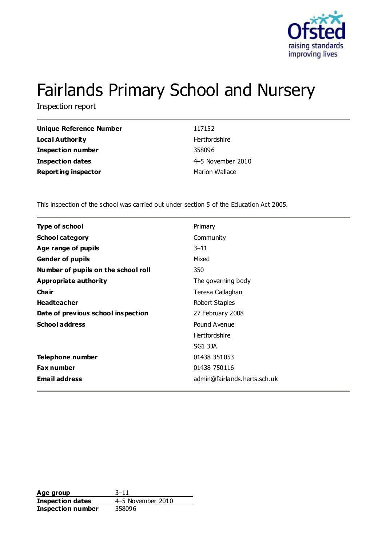

# Fairlands Primary School and Nursery

Inspection report

| <b>Unique Reference Number</b> | 117152            |
|--------------------------------|-------------------|
| Local Authority                | Hertfordshire     |
| <b>Inspection number</b>       | 358096            |
| <b>Inspection dates</b>        | 4-5 November 2010 |
| <b>Reporting inspector</b>     | Marion Wallace    |
|                                |                   |

This inspection of the school was carried out under section 5 of the Education Act 2005.

| <b>Type of school</b>               | Primary                      |
|-------------------------------------|------------------------------|
| <b>School category</b>              | Community                    |
| Age range of pupils                 | $3 - 11$                     |
| <b>Gender of pupils</b>             | Mixed                        |
| Number of pupils on the school roll | 350                          |
| Appropriate authority               | The governing body           |
| Cha ir                              | Teresa Callaghan             |
| <b>Headteacher</b>                  | Robert Staples               |
| Date of previous school inspection  | 27 February 2008             |
| <b>School address</b>               | Pound Avenue                 |
|                                     | <b>Hertfordshire</b>         |
|                                     | SG1 3JA                      |
| Telephone number                    | 01438 351053                 |
| <b>Fax number</b>                   | 01438 750116                 |
| <b>Email address</b>                | admin@fairlands.herts.sch.uk |

**Age group** 3–11 **Inspection dates** 4–5 November 2010 **Inspection number** 358096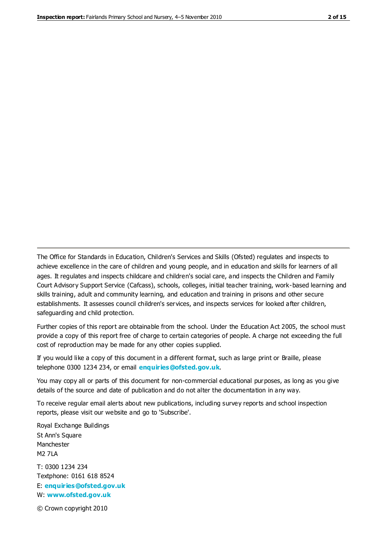The Office for Standards in Education, Children's Services and Skills (Ofsted) regulates and inspects to achieve excellence in the care of children and young people, and in education and skills for learners of all ages. It regulates and inspects childcare and children's social care, and inspects the Children and Family Court Advisory Support Service (Cafcass), schools, colleges, initial teacher training, work-based learning and skills training, adult and community learning, and education and training in prisons and other secure establishments. It assesses council children's services, and inspects services for looked after children, safeguarding and child protection.

Further copies of this report are obtainable from the school. Under the Education Act 2005, the school must provide a copy of this report free of charge to certain categories of people. A charge not exceeding the full cost of reproduction may be made for any other copies supplied.

If you would like a copy of this document in a different format, such as large print or Braille, please telephone 0300 1234 234, or email **[enquiries@ofsted.gov.uk](mailto:enquiries@ofsted.gov.uk)**.

You may copy all or parts of this document for non-commercial educational purposes, as long as you give details of the source and date of publication and do not alter the documentation in any way.

To receive regular email alerts about new publications, including survey reports and school inspection reports, please visit our website and go to 'Subscribe'.

Royal Exchange Buildings St Ann's Square Manchester M2 7LA T: 0300 1234 234 Textphone: 0161 618 8524 E: **[enquiries@ofsted.gov.uk](mailto:enquiries@ofsted.gov.uk)**

W: **[www.ofsted.gov.uk](http://www.ofsted.gov.uk/)**

© Crown copyright 2010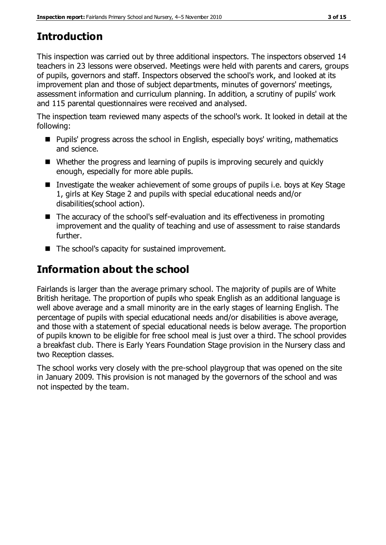# **Introduction**

This inspection was carried out by three additional inspectors. The inspectors observed 14 teachers in 23 lessons were observed. Meetings were held with parents and carers, groups of pupils, governors and staff. Inspectors observed the school's work, and looked at its improvement plan and those of subject departments, minutes of governors' meetings, assessment information and curriculum planning. In addition, a scrutiny of pupils' work and 115 parental questionnaires were received and analysed.

The inspection team reviewed many aspects of the school's work. It looked in detail at the following:

- Pupils' progress across the school in English, especially boys' writing, mathematics and science.
- Whether the progress and learning of pupils is improving securely and quickly enough, especially for more able pupils.
- Investigate the weaker achievement of some groups of pupils i.e. boys at Key Stage 1, girls at Key Stage 2 and pupils with special educational needs and/or disabilities(school action).
- The accuracy of the school's self-evaluation and its effectiveness in promoting improvement and the quality of teaching and use of assessment to raise standards further.
- The school's capacity for sustained improvement.

# **Information about the school**

Fairlands is larger than the average primary school. The majority of pupils are of White British heritage. The proportion of pupils who speak English as an additional language is well above average and a small minority are in the early stages of learning English. The percentage of pupils with special educational needs and/or disabilities is above average, and those with a statement of special educational needs is below average. The proportion of pupils known to be eligible for free school meal is just over a third. The school provides a breakfast club. There is Early Years Foundation Stage provision in the Nursery class and two Reception classes.

The school works very closely with the pre-school playgroup that was opened on the site in January 2009. This provision is not managed by the governors of the school and was not inspected by the team.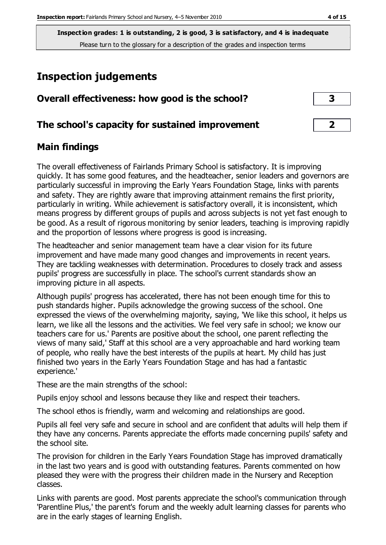# **Inspection judgements**

| Overall effectiveness: how good is the school?  |  |
|-------------------------------------------------|--|
| The school's capacity for sustained improvement |  |

#### **Main findings**

The overall effectiveness of Fairlands Primary School is satisfactory. It is improving quickly. It has some good features, and the headteacher, senior leaders and governors are particularly successful in improving the Early Years Foundation Stage, links with parents and safety. They are rightly aware that improving attainment remains the first priority, particularly in writing. While achievement is satisfactory overall, it is inconsistent, which means progress by different groups of pupils and across subjects is not yet fast enough to be good. As a result of rigorous monitoring by senior leaders, teaching is improving rapidly and the proportion of lessons where progress is good is increasing.

The headteacher and senior management team have a clear vision for its future improvement and have made many good changes and improvements in recent years. They are tackling weaknesses with determination. Procedures to closely track and assess pupils' progress are successfully in place. The school's current standards show an improving picture in all aspects.

Although pupils' progress has accelerated, there has not been enough time for this to push standards higher. Pupils acknowledge the growing success of the school. One expressed the views of the overwhelming majority, saying, 'We like this school, it helps us learn, we like all the lessons and the activities. We feel very safe in school; we know our teachers care for us.' Parents are positive about the school, one parent reflecting the views of many said,' Staff at this school are a very approachable and hard working team of people, who really have the best interests of the pupils at heart. My child has just finished two years in the Early Years Foundation Stage and has had a fantastic experience.'

These are the main strengths of the school:

Pupils enjoy school and lessons because they like and respect their teachers.

The school ethos is friendly, warm and welcoming and relationships are good.

Pupils all feel very safe and secure in school and are confident that adults will help them if they have any concerns. Parents appreciate the efforts made concerning pupils' safety and the school site.

The provision for children in the Early Years Foundation Stage has improved dramatically in the last two years and is good with outstanding features. Parents commented on how pleased they were with the progress their children made in the Nursery and Reception classes.

Links with parents are good. Most parents appreciate the school's communication through 'Parentline Plus,' the parent's forum and the weekly adult learning classes for parents who are in the early stages of learning English.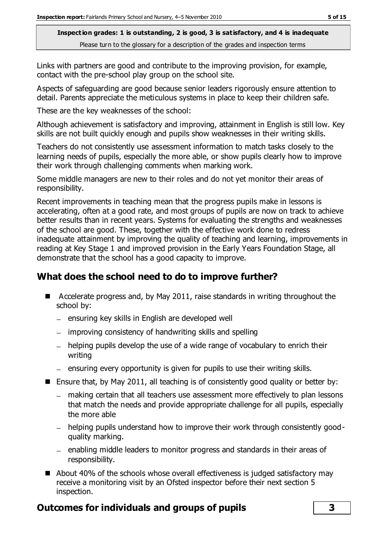Links with partners are good and contribute to the improving provision, for example, contact with the pre-school play group on the school site.

Aspects of safeguarding are good because senior leaders rigorously ensure attention to detail. Parents appreciate the meticulous systems in place to keep their children safe.

These are the key weaknesses of the school:

Although achievement is satisfactory and improving, attainment in English is still low. Key skills are not built quickly enough and pupils show weaknesses in their writing skills.

Teachers do not consistently use assessment information to match tasks closely to the learning needs of pupils, especially the more able, or show pupils clearly how to improve their work through challenging comments when marking work.

Some middle managers are new to their roles and do not yet monitor their areas of responsibility.

Recent improvements in teaching mean that the progress pupils make in lessons is accelerating, often at a good rate, and most groups of pupils are now on track to achieve better results than in recent years. Systems for evaluating the strengths and weaknesses of the school are good. These, together with the effective work done to redress inadequate attainment by improving the quality of teaching and learning, improvements in reading at Key Stage 1 and improved provision in the Early Years Foundation Stage, all demonstrate that the school has a good capacity to improve.

## **What does the school need to do to improve further?**

- Accelerate progress and, by May 2011, raise standards in writing throughout the school by:
	- $-$  ensuring key skills in English are developed well
	- improving consistency of handwriting skills and spelling
	- $-$  helping pupils develop the use of a wide range of vocabulary to enrich their writing
	- $=$  ensuring every opportunity is given for pupils to use their writing skills.
- **E** Ensure that, by May 2011, all teaching is of consistently good quality or better by:
	- making certain that all teachers use assessment more effectively to plan lessons that match the needs and provide appropriate challenge for all pupils, especially the more able
	- helping pupils understand how to improve their work through consistently goodquality marking.
	- enabling middle leaders to monitor progress and standards in their areas of responsibility.
- About 40% of the schools whose overall effectiveness is judged satisfactory may receive a monitoring visit by an Ofsted inspector before their next section 5 inspection.

## **Outcomes for individuals and groups of pupils 3**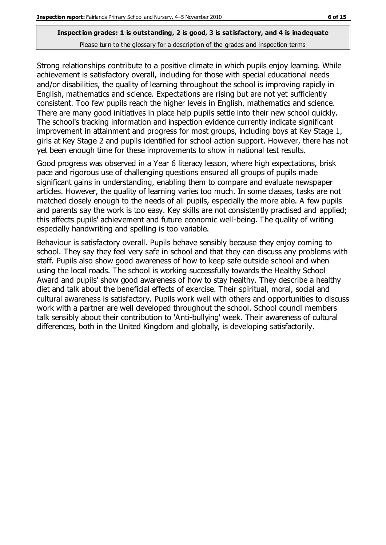Strong relationships contribute to a positive climate in which pupils enjoy learning. While achievement is satisfactory overall, including for those with special educational needs and/or disabilities, the quality of learning throughout the school is improving rapidly in English, mathematics and science. Expectations are rising but are not yet sufficiently consistent. Too few pupils reach the higher levels in English, mathematics and science. There are many good initiatives in place help pupils settle into their new school quickly. The school's tracking information and inspection evidence currently indicate significant improvement in attainment and progress for most groups, including boys at Key Stage 1, girls at Key Stage 2 and pupils identified for school action support. However, there has not yet been enough time for these improvements to show in national test results.

Good progress was observed in a Year 6 literacy lesson, where high expectations, brisk pace and rigorous use of challenging questions ensured all groups of pupils made significant gains in understanding, enabling them to compare and evaluate newspaper articles. However, the quality of learning varies too much. In some classes, tasks are not matched closely enough to the needs of all pupils, especially the more able. A few pupils and parents say the work is too easy. Key skills are not consistently practised and applied; this affects pupils' achievement and future economic well-being. The quality of writing especially handwriting and spelling is too variable.

Behaviour is satisfactory overall. Pupils behave sensibly because they enjoy coming to school. They say they feel very safe in school and that they can discuss any problems with staff. Pupils also show good awareness of how to keep safe outside school and when using the local roads. The school is working successfully towards the Healthy School Award and pupils' show good awareness of how to stay healthy. They describe a healthy diet and talk about the beneficial effects of exercise. Their spiritual, moral, social and cultural awareness is satisfactory. Pupils work well with others and opportunities to discuss work with a partner are well developed throughout the school. School council members talk sensibly about their contribution to 'Anti-bullying' week. Their awareness of cultural differences, both in the United Kingdom and globally, is developing satisfactorily.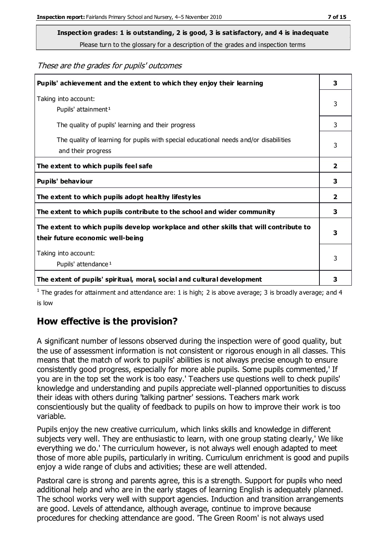**Inspection grades: 1 is outstanding, 2 is good, 3 is satisfactory, and 4 is inadequate**

Please turn to the glossary for a description of the grades and inspection terms

These are the grades for pupils' outcomes

| Pupils' achievement and the extent to which they enjoy their learning                                                     | 3 |
|---------------------------------------------------------------------------------------------------------------------------|---|
| Taking into account:<br>Pupils' attainment <sup>1</sup>                                                                   | 3 |
| The quality of pupils' learning and their progress                                                                        | 3 |
| The quality of learning for pupils with special educational needs and/or disabilities<br>and their progress               | 3 |
| The extent to which pupils feel safe                                                                                      | 2 |
| Pupils' behaviour                                                                                                         | 3 |
| The extent to which pupils adopt healthy lifestyles                                                                       | 2 |
| The extent to which pupils contribute to the school and wider community                                                   | 3 |
| The extent to which pupils develop workplace and other skills that will contribute to<br>their future economic well-being | 3 |
| Taking into account:<br>Pupils' attendance <sup>1</sup>                                                                   | 3 |
| The extent of pupils' spiritual, moral, social and cultural development                                                   | 3 |

<sup>1</sup> The grades for attainment and attendance are: 1 is high; 2 is above average; 3 is broadly average; and 4 is low

#### **How effective is the provision?**

A significant number of lessons observed during the inspection were of good quality, but the use of assessment information is not consistent or rigorous enough in all classes. This means that the match of work to pupils' abilities is not always precise enough to ensure consistently good progress, especially for more able pupils. Some pupils commented,' If you are in the top set the work is too easy.' Teachers use questions well to check pupils' knowledge and understanding and pupils appreciate well-planned opportunities to discuss their ideas with others during 'talking partner' sessions. Teachers mark work conscientiously but the quality of feedback to pupils on how to improve their work is too variable.

Pupils enjoy the new creative curriculum, which links skills and knowledge in different subjects very well. They are enthusiastic to learn, with one group stating clearly,' We like everything we do.' The curriculum however, is not always well enough adapted to meet those of more able pupils, particularly in writing. Curriculum enrichment is good and pupils enjoy a wide range of clubs and activities; these are well attended.

Pastoral care is strong and parents agree, this is a strength. Support for pupils who need additional help and who are in the early stages of learning English is adequately planned. The school works very well with support agencies. Induction and transition arrangements are good. Levels of attendance, although average, continue to improve because procedures for checking attendance are good. 'The Green Room' is not always used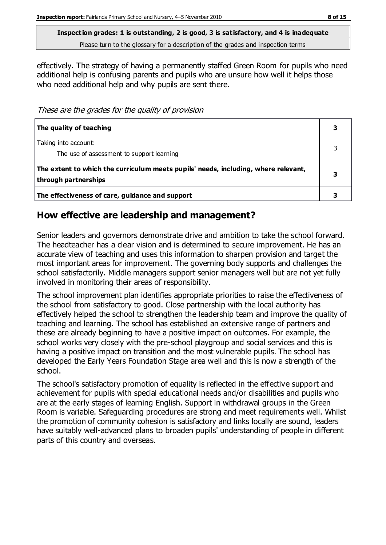**Inspection grades: 1 is outstanding, 2 is good, 3 is satisfactory, and 4 is inadequate**

Please turn to the glossary for a description of the grades and inspection terms

effectively. The strategy of having a permanently staffed Green Room for pupils who need additional help is confusing parents and pupils who are unsure how well it helps those who need additional help and why pupils are sent there.

These are the grades for the quality of provision

| The quality of teaching                                                                                    |   |
|------------------------------------------------------------------------------------------------------------|---|
| Taking into account:<br>The use of assessment to support learning                                          |   |
| The extent to which the curriculum meets pupils' needs, including, where relevant,<br>through partnerships | З |
| The effectiveness of care, guidance and support                                                            |   |

#### **How effective are leadership and management?**

Senior leaders and governors demonstrate drive and ambition to take the school forward. The headteacher has a clear vision and is determined to secure improvement. He has an accurate view of teaching and uses this information to sharpen provision and target the most important areas for improvement. The governing body supports and challenges the school satisfactorily. Middle managers support senior managers well but are not yet fully involved in monitoring their areas of responsibility.

The school improvement plan identifies appropriate priorities to raise the effectiveness of the school from satisfactory to good. Close partnership with the local authority has effectively helped the school to strengthen the leadership team and improve the quality of teaching and learning. The school has established an extensive range of partners and these are already beginning to have a positive impact on outcomes. For example, the school works very closely with the pre-school playgroup and social services and this is having a positive impact on transition and the most vulnerable pupils. The school has developed the Early Years Foundation Stage area well and this is now a strength of the school.

The school's satisfactory promotion of equality is reflected in the effective support and achievement for pupils with special educational needs and/or disabilities and pupils who are at the early stages of learning English. Support in withdrawal groups in the Green Room is variable. Safeguarding procedures are strong and meet requirements well. Whilst the promotion of community cohesion is satisfactory and links locally are sound, leaders have suitably well-advanced plans to broaden pupils' understanding of people in different parts of this country and overseas.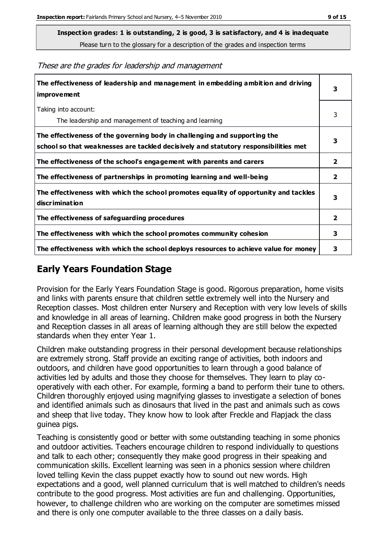**Inspection grades: 1 is outstanding, 2 is good, 3 is satisfactory, and 4 is inadequate**

Please turn to the glossary for a description of the grades and inspection terms

These are the grades for leadership and management

| The effectiveness of leadership and management in embedding ambition and driving<br>improvement                                                                  | 3              |
|------------------------------------------------------------------------------------------------------------------------------------------------------------------|----------------|
| Taking into account:<br>The leadership and management of teaching and learning                                                                                   | 3              |
| The effectiveness of the governing body in challenging and supporting the<br>school so that weaknesses are tackled decisively and statutory responsibilities met | 3              |
| The effectiveness of the school's engagement with parents and carers                                                                                             | $\mathbf{2}$   |
| The effectiveness of partnerships in promoting learning and well-being                                                                                           | $\overline{2}$ |
| The effectiveness with which the school promotes equality of opportunity and tackles<br>discrimination                                                           | 3              |
| The effectiveness of safeguarding procedures                                                                                                                     | $\overline{2}$ |
| The effectiveness with which the school promotes community cohesion                                                                                              | 3              |
| The effectiveness with which the school deploys resources to achieve value for money                                                                             | 3              |

### **Early Years Foundation Stage**

Provision for the Early Years Foundation Stage is good. Rigorous preparation, home visits and links with parents ensure that children settle extremely well into the Nursery and Reception classes. Most children enter Nursery and Reception with very low levels of skills and knowledge in all areas of learning. Children make good progress in both the Nursery and Reception classes in all areas of learning although they are still below the expected standards when they enter Year 1.

Children make outstanding progress in their personal development because relationships are extremely strong. Staff provide an exciting range of activities, both indoors and outdoors, and children have good opportunities to learn through a good balance of activities led by adults and those they choose for themselves. They learn to play cooperatively with each other. For example, forming a band to perform their tune to others. Children thoroughly enjoyed using magnifying glasses to investigate a selection of bones and identified animals such as dinosaurs that lived in the past and animals such as cows and sheep that live today. They know how to look after Freckle and Flapjack the class guinea pigs.

Teaching is consistently good or better with some outstanding teaching in some phonics and outdoor activities. Teachers encourage children to respond individually to questions and talk to each other; consequently they make good progress in their speaking and communication skills. Excellent learning was seen in a phonics session where children loved telling Kevin the class puppet exactly how to sound out new words. High expectations and a good, well planned curriculum that is well matched to children's needs contribute to the good progress. Most activities are fun and challenging. Opportunities, however, to challenge children who are working on the computer are sometimes missed and there is only one computer available to the three classes on a daily basis.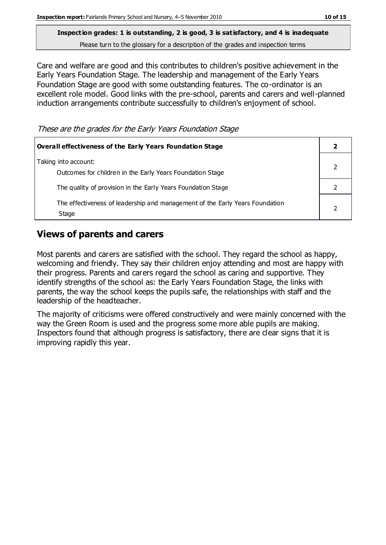Care and welfare are good and this contributes to children's positive achievement in the Early Years Foundation Stage. The leadership and management of the Early Years Foundation Stage are good with some outstanding features. The co-ordinator is an excellent role model. Good links with the pre-school, parents and carers and well-planned induction arrangements contribute successfully to children's enjoyment of school.

These are the grades for the Early Years Foundation Stage

| Overall effectiveness of the Early Years Foundation Stage                             |  |
|---------------------------------------------------------------------------------------|--|
| Taking into account:<br>Outcomes for children in the Early Years Foundation Stage     |  |
| The quality of provision in the Early Years Foundation Stage                          |  |
| The effectiveness of leadership and management of the Early Years Foundation<br>Stage |  |

#### **Views of parents and carers**

Most parents and carers are satisfied with the school. They regard the school as happy, welcoming and friendly. They say their children enjoy attending and most are happy with their progress. Parents and carers regard the school as caring and supportive. They identify strengths of the school as: the Early Years Foundation Stage, the links with parents, the way the school keeps the pupils safe, the relationships with staff and the leadership of the headteacher.

The majority of criticisms were offered constructively and were mainly concerned with the way the Green Room is used and the progress some more able pupils are making. Inspectors found that although progress is satisfactory, there are clear signs that it is improving rapidly this year.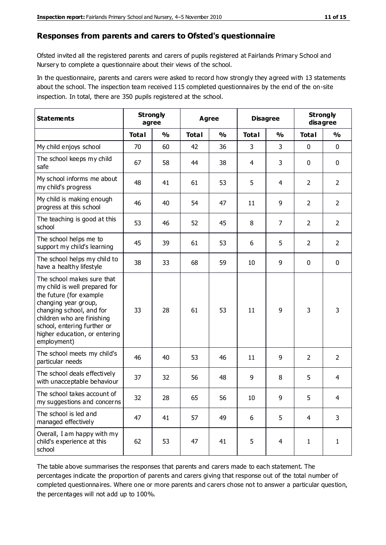#### **Responses from parents and carers to Ofsted's questionnaire**

Ofsted invited all the registered parents and carers of pupils registered at Fairlands Primary School and Nursery to complete a questionnaire about their views of the school.

In the questionnaire, parents and carers were asked to record how strongly they agreed with 13 statements about the school. The inspection team received 115 completed questionnaires by the end of the on-site inspection. In total, there are 350 pupils registered at the school.

| <b>Statements</b>                                                                                                                                                                                                                                       |              | <b>Strongly</b><br>Agree<br>agree |              | <b>Disagree</b> |              | <b>Strongly</b><br>disagree |                |                |
|---------------------------------------------------------------------------------------------------------------------------------------------------------------------------------------------------------------------------------------------------------|--------------|-----------------------------------|--------------|-----------------|--------------|-----------------------------|----------------|----------------|
|                                                                                                                                                                                                                                                         | <b>Total</b> | $\frac{0}{0}$                     | <b>Total</b> | $\frac{0}{0}$   | <b>Total</b> | $\frac{0}{0}$               | <b>Total</b>   | $\frac{0}{0}$  |
| My child enjoys school                                                                                                                                                                                                                                  | 70           | 60                                | 42           | 36              | 3            | 3                           | $\mathbf 0$    | $\mathbf 0$    |
| The school keeps my child<br>safe                                                                                                                                                                                                                       | 67           | 58                                | 44           | 38              | 4            | 3                           | $\mathbf 0$    | $\mathbf 0$    |
| My school informs me about<br>my child's progress                                                                                                                                                                                                       | 48           | 41                                | 61           | 53              | 5            | 4                           | $\overline{2}$ | $\overline{2}$ |
| My child is making enough<br>progress at this school                                                                                                                                                                                                    | 46           | 40                                | 54           | 47              | 11           | 9                           | $\overline{2}$ | $\overline{2}$ |
| The teaching is good at this<br>school                                                                                                                                                                                                                  | 53           | 46                                | 52           | 45              | 8            | $\overline{7}$              | $\overline{2}$ | $\overline{2}$ |
| The school helps me to<br>support my child's learning                                                                                                                                                                                                   | 45           | 39                                | 61           | 53              | 6            | 5                           | $\overline{2}$ | $\overline{2}$ |
| The school helps my child to<br>have a healthy lifestyle                                                                                                                                                                                                | 38           | 33                                | 68           | 59              | 10           | 9                           | $\mathbf 0$    | $\mathbf 0$    |
| The school makes sure that<br>my child is well prepared for<br>the future (for example<br>changing year group,<br>changing school, and for<br>children who are finishing<br>school, entering further or<br>higher education, or entering<br>employment) | 33           | 28                                | 61           | 53              | 11           | 9                           | 3              | 3              |
| The school meets my child's<br>particular needs                                                                                                                                                                                                         | 46           | 40                                | 53           | 46              | 11           | 9                           | $\overline{2}$ | $\overline{2}$ |
| The school deals effectively<br>with unacceptable behaviour                                                                                                                                                                                             | 37           | 32                                | 56           | 48              | 9            | 8                           | 5              | 4              |
| The school takes account of<br>my suggestions and concerns                                                                                                                                                                                              | 32           | 28                                | 65           | 56              | $10\,$       | 9                           | 5              | 4              |
| The school is led and<br>managed effectively                                                                                                                                                                                                            | 47           | 41                                | 57           | 49              | 6            | 5                           | $\overline{4}$ | 3              |
| Overall, I am happy with my<br>child's experience at this<br>school                                                                                                                                                                                     | 62           | 53                                | 47           | 41              | 5            | $\overline{4}$              | $\mathbf{1}$   | $\mathbf{1}$   |

The table above summarises the responses that parents and carers made to each statement. The percentages indicate the proportion of parents and carers giving that response out of the total number of completed questionnaires. Where one or more parents and carers chose not to answer a particular question, the percentages will not add up to 100%.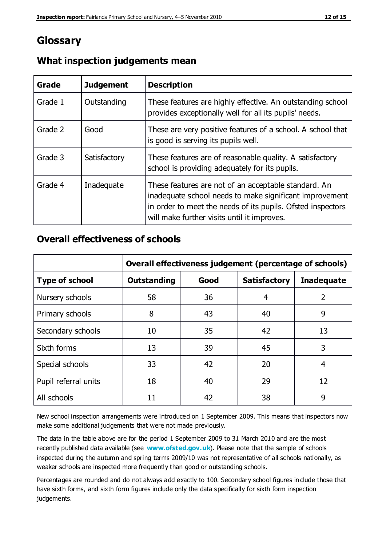## **Glossary**

| Grade   | <b>Judgement</b> | <b>Description</b>                                                                                                                                                                                                            |
|---------|------------------|-------------------------------------------------------------------------------------------------------------------------------------------------------------------------------------------------------------------------------|
| Grade 1 | Outstanding      | These features are highly effective. An outstanding school<br>provides exceptionally well for all its pupils' needs.                                                                                                          |
| Grade 2 | Good             | These are very positive features of a school. A school that<br>is good is serving its pupils well.                                                                                                                            |
| Grade 3 | Satisfactory     | These features are of reasonable quality. A satisfactory<br>school is providing adequately for its pupils.                                                                                                                    |
| Grade 4 | Inadequate       | These features are not of an acceptable standard. An<br>inadequate school needs to make significant improvement<br>in order to meet the needs of its pupils. Ofsted inspectors<br>will make further visits until it improves. |

#### **What inspection judgements mean**

#### **Overall effectiveness of schools**

|                       | Overall effectiveness judgement (percentage of schools) |      |                     |                   |
|-----------------------|---------------------------------------------------------|------|---------------------|-------------------|
| <b>Type of school</b> | <b>Outstanding</b>                                      | Good | <b>Satisfactory</b> | <b>Inadequate</b> |
| Nursery schools       | 58                                                      | 36   | 4                   | 2                 |
| Primary schools       | 8                                                       | 43   | 40                  | 9                 |
| Secondary schools     | 10                                                      | 35   | 42                  | 13                |
| Sixth forms           | 13                                                      | 39   | 45                  | 3                 |
| Special schools       | 33                                                      | 42   | 20                  | 4                 |
| Pupil referral units  | 18                                                      | 40   | 29                  | 12                |
| All schools           | 11                                                      | 42   | 38                  | 9                 |

New school inspection arrangements were introduced on 1 September 2009. This means that inspectors now make some additional judgements that were not made previously.

The data in the table above are for the period 1 September 2009 to 31 March 2010 and are the most recently published data available (see **[www.ofsted.gov.uk](http://www.ofsted.gov.uk/)**). Please note that the sample of schools inspected during the autumn and spring terms 2009/10 was not representative of all schools nationally, as weaker schools are inspected more frequently than good or outstanding schools.

Percentages are rounded and do not always add exactly to 100. Secondary school figures in clude those that have sixth forms, and sixth form figures include only the data specifically for sixth form inspection judgements.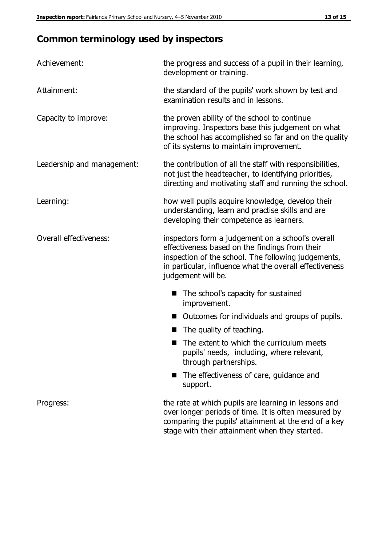# **Common terminology used by inspectors**

| Achievement:               | the progress and success of a pupil in their learning,<br>development or training.                                                                                                                                                          |  |  |
|----------------------------|---------------------------------------------------------------------------------------------------------------------------------------------------------------------------------------------------------------------------------------------|--|--|
| Attainment:                | the standard of the pupils' work shown by test and<br>examination results and in lessons.                                                                                                                                                   |  |  |
| Capacity to improve:       | the proven ability of the school to continue<br>improving. Inspectors base this judgement on what<br>the school has accomplished so far and on the quality<br>of its systems to maintain improvement.                                       |  |  |
| Leadership and management: | the contribution of all the staff with responsibilities,<br>not just the headteacher, to identifying priorities,<br>directing and motivating staff and running the school.                                                                  |  |  |
| Learning:                  | how well pupils acquire knowledge, develop their<br>understanding, learn and practise skills and are<br>developing their competence as learners.                                                                                            |  |  |
| Overall effectiveness:     | inspectors form a judgement on a school's overall<br>effectiveness based on the findings from their<br>inspection of the school. The following judgements,<br>in particular, influence what the overall effectiveness<br>judgement will be. |  |  |
|                            | The school's capacity for sustained<br>improvement.                                                                                                                                                                                         |  |  |
|                            | Outcomes for individuals and groups of pupils.                                                                                                                                                                                              |  |  |
|                            | The quality of teaching.                                                                                                                                                                                                                    |  |  |
|                            | The extent to which the curriculum meets<br>pupils' needs, including, where relevant,<br>through partnerships.                                                                                                                              |  |  |
|                            | The effectiveness of care, guidance and<br>support.                                                                                                                                                                                         |  |  |
| Progress:                  | the rate at which pupils are learning in lessons and<br>over longer periods of time. It is often measured by<br>comparing the pupils' attainment at the end of a key                                                                        |  |  |

stage with their attainment when they started.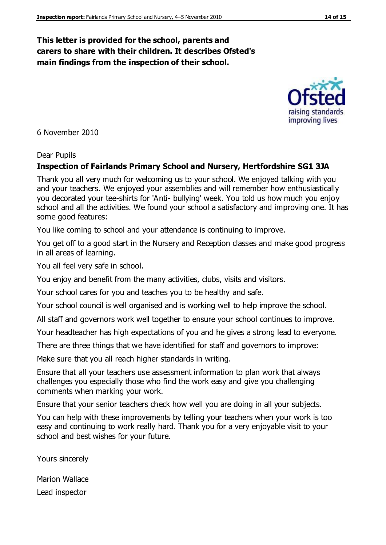#### **This letter is provided for the school, parents and carers to share with their children. It describes Ofsted's main findings from the inspection of their school.**

6 November 2010

#### Dear Pupils

#### **Inspection of Fairlands Primary School and Nursery, Hertfordshire SG1 3JA**

Thank you all very much for welcoming us to your school. We enjoyed talking with you and your teachers. We enjoyed your assemblies and will remember how enthusiastically you decorated your tee-shirts for 'Anti- bullying' week. You told us how much you enjoy school and all the activities. We found your school a satisfactory and improving one. It has some good features:

You like coming to school and your attendance is continuing to improve.

You get off to a good start in the Nursery and Reception classes and make good progress in all areas of learning.

You all feel very safe in school.

You enjoy and benefit from the many activities, clubs, visits and visitors.

Your school cares for you and teaches you to be healthy and safe.

Your school council is well organised and is working well to help improve the school.

All staff and governors work well together to ensure your school continues to improve.

Your headteacher has high expectations of you and he gives a strong lead to everyone.

There are three things that we have identified for staff and governors to improve:

Make sure that you all reach higher standards in writing.

Ensure that all your teachers use assessment information to plan work that always challenges you especially those who find the work easy and give you challenging comments when marking your work.

Ensure that your senior teachers check how well you are doing in all your subjects.

You can help with these improvements by telling your teachers when your work is too easy and continuing to work really hard. Thank you for a very enjoyable visit to your school and best wishes for your future.

Yours sincerely

Marion Wallace Lead inspector